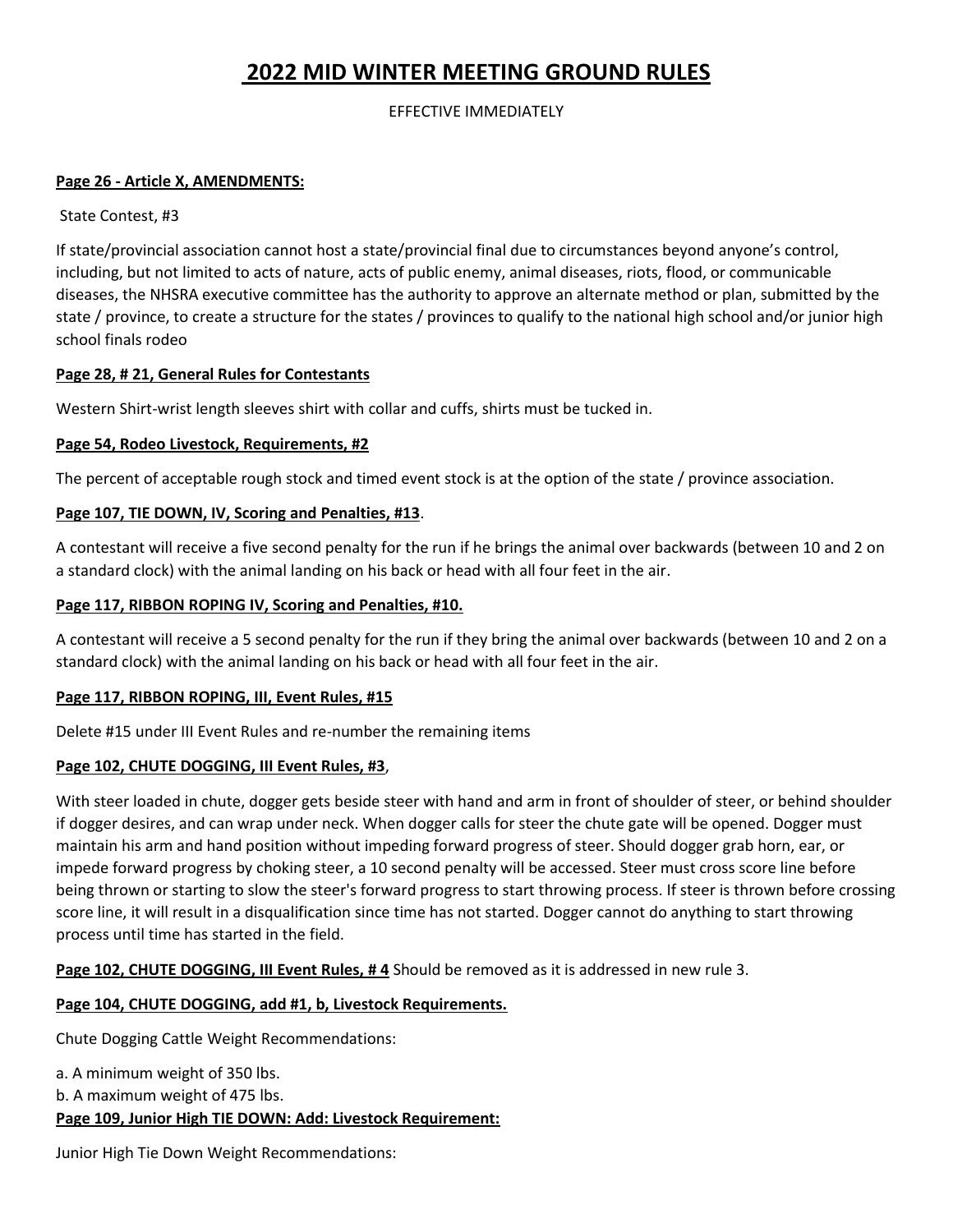# **2022 MID WINTER MEETING GROUND RULES**

EFFECTIVE IMMEDIATELY

### **Page 26 - Article X, AMENDMENTS:**

State Contest, #3

If state/provincial association cannot host a state/provincial final due to circumstances beyond anyone's control, including, but not limited to acts of nature, acts of public enemy, animal diseases, riots, flood, or communicable diseases, the NHSRA executive committee has the authority to approve an alternate method or plan, submitted by the state / province, to create a structure for the states / provinces to qualify to the national high school and/or junior high school finals rodeo

#### **Page 28, # 21, General Rules for Contestants**

Western Shirt-wrist length sleeves shirt with collar and cuffs, shirts must be tucked in.

# **Page 54, Rodeo Livestock, Requirements, #2**

The percent of acceptable rough stock and timed event stock is at the option of the state / province association.

# **Page 107, TIE DOWN, IV, Scoring and Penalties, #13**.

A contestant will receive a five second penalty for the run if he brings the animal over backwards (between 10 and 2 on a standard clock) with the animal landing on his back or head with all four feet in the air.

# **Page 117, RIBBON ROPING IV, Scoring and Penalties, #10.**

A contestant will receive a 5 second penalty for the run if they bring the animal over backwards (between 10 and 2 on a standard clock) with the animal landing on his back or head with all four feet in the air.

# **Page 117, RIBBON ROPING, III, Event Rules, #15**

Delete #15 under III Event Rules and re-number the remaining items

#### **Page 102, CHUTE DOGGING, III Event Rules, #3**,

With steer loaded in chute, dogger gets beside steer with hand and arm in front of shoulder of steer, or behind shoulder if dogger desires, and can wrap under neck. When dogger calls for steer the chute gate will be opened. Dogger must maintain his arm and hand position without impeding forward progress of steer. Should dogger grab horn, ear, or impede forward progress by choking steer, a 10 second penalty will be accessed. Steer must cross score line before being thrown or starting to slow the steer's forward progress to start throwing process. If steer is thrown before crossing score line, it will result in a disqualification since time has not started. Dogger cannot do anything to start throwing process until time has started in the field.

**Page 102, CHUTE DOGGING, III Event Rules, # 4** Should be removed as it is addressed in new rule 3.

# **Page 104, CHUTE DOGGING, add #1, b, Livestock Requirements.**

Chute Dogging Cattle Weight Recommendations:

a. A minimum weight of 350 lbs. b. A maximum weight of 475 lbs. **Page 109, Junior High TIE DOWN: Add: Livestock Requirement:** 

Junior High Tie Down Weight Recommendations: